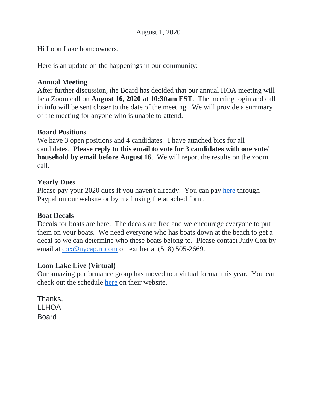Hi Loon Lake homeowners,

Here is an update on the happenings in our community:

## **Annual Meeting**

After further discussion, the Board has decided that our annual HOA meeting will be a Zoom call on **August 16, 2020 at 10:30am EST**. The meeting login and call in info will be sent closer to the date of the meeting. We will provide a summary of the meeting for anyone who is unable to attend.

### **Board Positions**

We have 3 open positions and 4 candidates. I have attached bios for all candidates. **Please reply to this email to vote for 3 candidates with one vote/ household by email before August 16**. We will report the results on the zoom call.

### **Yearly Dues**

Please pay your 2020 dues if you haven't already. You can pay [here](http://www.loonlakehoa.org/membership.html) through Paypal on our website or by mail using the attached form.

### **Boat Decals**

Decals for boats are here. The decals are free and we encourage everyone to put them on your boats. We need everyone who has boats down at the beach to get a decal so we can determine who these boats belong to. Please contact Judy Cox by email at [cox@nycap.rr.com](mailto:cox@nycap.rr.com) or text her at (518) 505-2669.

### **Loon Lake Live (Virtual)**

Our amazing performance group has moved to a virtual format this year. You can check out the schedule [here](https://www.loonlakelive.org/) on their website.

Thanks, LLHOA Board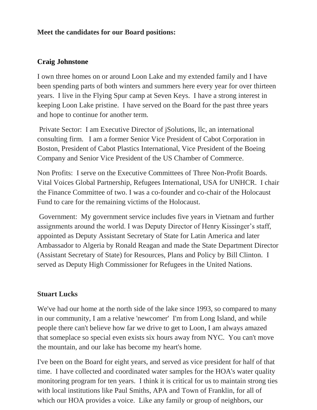### **Meet the candidates for our Board positions:**

### **Craig Johnstone**

I own three homes on or around Loon Lake and my extended family and I have been spending parts of both winters and summers here every year for over thirteen years. I live in the Flying Spur camp at Seven Keys. I have a strong interest in keeping Loon Lake pristine. I have served on the Board for the past three years and hope to continue for another term.

Private Sector: I am Executive Director of jSolutions, llc, an international consulting firm. I am a former Senior Vice President of Cabot Corporation in Boston, President of Cabot Plastics International, Vice President of the Boeing Company and Senior Vice President of the US Chamber of Commerce.

Non Profits: I serve on the Executive Committees of Three Non-Profit Boards. Vital Voices Global Partnership, Refugees International, USA for UNHCR. I chair the Finance Committee of two. I was a co-founder and co-chair of the Holocaust Fund to care for the remaining victims of the Holocaust.

Government: My government service includes five years in Vietnam and further assignments around the world. I was Deputy Director of Henry Kissinger's staff, appointed as Deputy Assistant Secretary of State for Latin America and later Ambassador to Algeria by Ronald Reagan and made the State Department Director (Assistant Secretary of State) for Resources, Plans and Policy by Bill Clinton. I served as Deputy High Commissioner for Refugees in the United Nations.

#### **Stuart Lucks**

We've had our home at the north side of the lake since 1993, so compared to many in our community, I am a relative 'newcomer' I'm from Long Island, and while people there can't believe how far we drive to get to Loon, I am always amazed that someplace so special even exists six hours away from NYC. You can't move the mountain, and our lake has become my heart's home.

I've been on the Board for eight years, and served as vice president for half of that time. I have collected and coordinated water samples for the HOA's water quality monitoring program for ten years. I think it is critical for us to maintain strong ties with local institutions like Paul Smiths, APA and Town of Franklin, for all of which our HOA provides a voice. Like any family or group of neighbors, our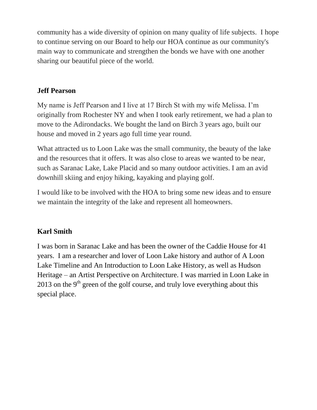community has a wide diversity of opinion on many quality of life subjects. I hope to continue serving on our Board to help our HOA continue as our community's main way to communicate and strengthen the bonds we have with one another sharing our beautiful piece of the world.

# **Jeff Pearson**

My name is Jeff Pearson and I live at 17 Birch St with my wife Melissa. I'm originally from Rochester NY and when I took early retirement, we had a plan to move to the Adirondacks. We bought the land on Birch 3 years ago, built our house and moved in 2 years ago full time year round.

What attracted us to Loon Lake was the small community, the beauty of the lake and the resources that it offers. It was also close to areas we wanted to be near, such as Saranac Lake, Lake Placid and so many outdoor activities. I am an avid downhill skiing and enjoy hiking, kayaking and playing golf.

I would like to be involved with the HOA to bring some new ideas and to ensure we maintain the integrity of the lake and represent all homeowners.

## **Karl Smith**

I was born in Saranac Lake and has been the owner of the Caddie House for 41 years. I am a researcher and lover of Loon Lake history and author of A Loon Lake Timeline and An Introduction to Loon Lake History, as well as Hudson Heritage – an Artist Perspective on Architecture. I was married in Loon Lake in 2013 on the 9<sup>th</sup> green of the golf course, and truly love everything about this special place.